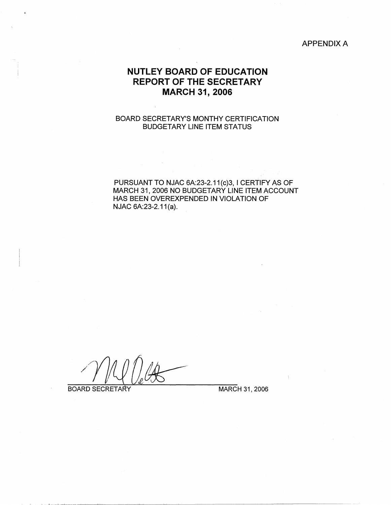#### APPENDIX A

# **NUTLEY BOARD OF EDUCATION REPORT OF THE SECRETARY MARCH 31, 2006**

### BOARD SECRETARY'S MONTHY CERTIFICATION BUDGETARY LINE ITEM STATUS

 $\sim 10^{-1}$ 

PURSUANT TO NJAC 6A:23-2.11(c)3, I CERTIFY AS OF MARCH 31, 2006 NO BUDGETARY LINE ITEM ACCOUNT HAS BEEN OVEREXPENDED IN VIOLATION OF NJAC 6A:23-2.11 (a).

BOARD SECRETARY MARCH 31, 2006

 $\Lambda$  .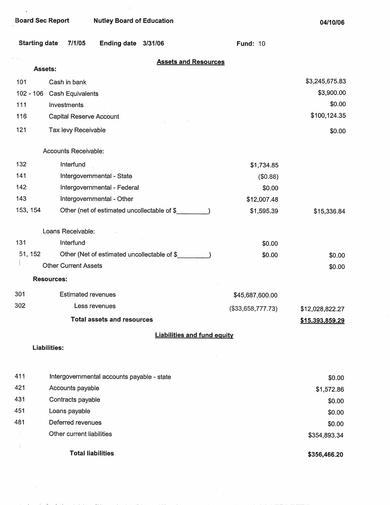$\mathbb{Z}^2$ 

and the

control and control of

 $\tilde{\mathbf{v}}$ 

**Board Sec Report Nutley Board of Education** 

 $\mathbf{u}^{\prime}$ 

| <b>Starting date</b> | 7/1/05                      | Ending date 3/31/06                          |                                             | <b>Fund: 10</b>                    |                        |
|----------------------|-----------------------------|----------------------------------------------|---------------------------------------------|------------------------------------|------------------------|
|                      | Assets:                     |                                              |                                             | <b>Assets and Resources</b>        |                        |
| 101                  | Cash in bank                |                                              |                                             |                                    | \$3,245,675.83         |
| $102 - 106$          | Cash Equivalents            |                                              |                                             |                                    | \$3,900.00             |
| 111                  | Investments                 |                                              |                                             |                                    | \$0.00                 |
| 116                  | Capital Reserve Account     |                                              |                                             |                                    | \$100,124.35           |
| 121                  | Tax levy Receivable         |                                              |                                             |                                    | \$0.00                 |
|                      |                             |                                              |                                             |                                    |                        |
|                      | Accounts Receivable:        |                                              |                                             |                                    |                        |
| 132                  | Interfund                   |                                              |                                             | \$1,734.85                         |                        |
| 141                  |                             | Intergovernmental - State                    |                                             | (\$0.88)                           |                        |
| 142                  |                             | Intergovernmental - Federal                  |                                             | \$0.00                             |                        |
| 143                  |                             | Intergovernmental - Other                    |                                             | \$12,007.48                        |                        |
| 153, 154             |                             |                                              | Other (net of estimated uncollectable of \$ | \$1,595.39                         | \$15,336.84            |
|                      | Loans Receivable:           |                                              |                                             |                                    |                        |
| 131                  | Interfund                   |                                              |                                             | \$0.00                             |                        |
| 51, 152              |                             | Other (Net of estimated uncollectable of \$_ |                                             | \$0.00                             | \$0.00                 |
|                      | <b>Other Current Assets</b> |                                              |                                             |                                    | \$0.00                 |
|                      | <b>Resources:</b>           |                                              |                                             |                                    |                        |
| 301                  | <b>Estimated revenues</b>   |                                              |                                             | \$45,687,600.00                    |                        |
| 302                  |                             | Less revenues                                |                                             | (\$33,658,777.73)                  | \$12,028,822.27        |
|                      |                             | <b>Total assets and resources</b>            |                                             |                                    | <u>\$15,393,859.29</u> |
|                      |                             |                                              |                                             | <b>Liabilities and fund equity</b> |                        |
|                      | Liabilities:                |                                              |                                             |                                    |                        |
| 411                  |                             | Intergovernmental accounts payable - state   |                                             |                                    | \$0.00                 |
| 421                  | Accounts payable            |                                              |                                             |                                    | \$1,572.86             |
| 431                  | Contracts payable           |                                              |                                             |                                    | \$0.00                 |
| 451                  | Loans payable               |                                              |                                             |                                    | \$0.00                 |
| 481                  | Deferred revenues           |                                              |                                             |                                    | \$0.00                 |
|                      | Other current liabilities   |                                              |                                             |                                    | \$354,893.34           |
|                      |                             | <b>Total liabilities</b>                     |                                             |                                    | \$356,466.20           |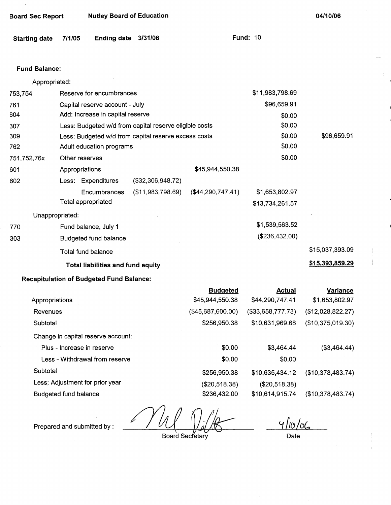| <b>Board Sec Report</b>      |        |                                                 | <b>Nutley Board of Education</b>                       |                   |                   | 04/10/06               |
|------------------------------|--------|-------------------------------------------------|--------------------------------------------------------|-------------------|-------------------|------------------------|
| <b>Starting date</b>         | 7/1/05 | Ending date 3/31/06                             |                                                        |                   | <b>Fund: 10</b>   |                        |
| <b>Fund Balance:</b>         |        |                                                 |                                                        |                   |                   |                        |
| Appropriated:                |        |                                                 |                                                        |                   |                   |                        |
| 753,754                      |        | Reserve for encumbrances                        |                                                        |                   | \$11,983,798.69   |                        |
| 761                          |        | Capital reserve account - July                  |                                                        |                   | \$96,659.91       |                        |
| 604                          |        | Add: Increase in capital reserve                |                                                        |                   | \$0.00            |                        |
| 307                          |        |                                                 | Less: Budgeted w/d from capital reserve eligible costs |                   | \$0.00            |                        |
| 309                          |        |                                                 | Less: Budgeted w/d from capital reserve excess costs   |                   | \$0.00            | \$96,659.91            |
| 762                          |        | Adult education programs                        |                                                        |                   | \$0.00            |                        |
| 751,752,76x                  |        | Other reserves                                  |                                                        |                   | \$0.00            |                        |
| 601                          |        | Appropriations                                  |                                                        | \$45,944,550.38   |                   |                        |
| 602                          |        | Less: Expenditures                              | (\$32,306,948.72)                                      |                   |                   |                        |
|                              |        | Encumbrances<br>Total appropriated              | (\$11,983,798.69)                                      | (\$44,290,747.41) | \$1,653,802.97    |                        |
|                              |        |                                                 |                                                        |                   | \$13,734,261.57   |                        |
| Unappropriated:              |        |                                                 |                                                        |                   | \$1,539,563.52    |                        |
| 770                          |        | Fund balance, July 1                            |                                                        |                   | (\$236,432.00)    |                        |
| 303                          |        | <b>Budgeted fund balance</b>                    |                                                        |                   |                   |                        |
|                              |        | <b>Total fund balance</b>                       |                                                        |                   |                   | \$15,037,393.09        |
|                              |        | Total liabilities and fund equity               |                                                        |                   |                   | <u>\$15,393,859.29</u> |
|                              |        | <b>Recapitulation of Budgeted Fund Balance:</b> |                                                        |                   |                   |                        |
|                              |        |                                                 |                                                        | <b>Budgeted</b>   | <b>Actual</b>     | <b>Variance</b>        |
| Appropriations               |        |                                                 |                                                        | \$45,944,550.38   | \$44,290,747.41   | \$1,653,802.97         |
| Revenues                     |        |                                                 |                                                        | (\$45,687,600.00) | (\$33,658,777.73) | (\$12,028,822.27)      |
| Subtotal                     |        |                                                 |                                                        | \$256,950.38      | \$10,631,969.68   | (\$10,375,019.30)      |
|                              |        | Change in capital reserve account:              |                                                        |                   |                   |                        |
|                              |        | Plus - Increase in reserve                      |                                                        | \$0.00            | \$3,464.44        | (\$3,464.44)           |
|                              |        | Less - Withdrawal from reserve                  |                                                        | \$0.00            | \$0.00            |                        |
| Subtotal                     |        |                                                 |                                                        | \$256,950.38      | \$10,635,434.12   | (\$10,378,483.74)      |
|                              |        | Less: Adjustment for prior year                 |                                                        | (\$20,518.38)     | (\$20,518.38)     |                        |
| <b>Budgeted fund balance</b> |        |                                                 |                                                        | \$236,432.00      | \$10,614,915.74   | (\$10,378,483.74)      |
|                              |        |                                                 |                                                        |                   |                   |                        |

 $\mathcal{N}_{\Lambda}$ 

Prepared and submitted by :

Board Secretary

 $410/06$ Date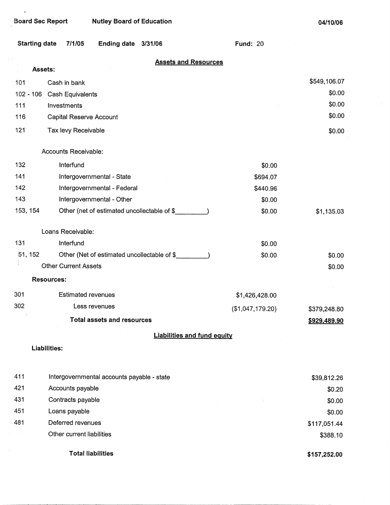$\hat{\phantom{a}}$ 

**04/10/06** 

 $\bar{z}$ 

| <b>Starting date</b> | 7/1/05                      | Ending date 3/31/06                         |                                    | <b>Fund: 20</b>  |              |
|----------------------|-----------------------------|---------------------------------------------|------------------------------------|------------------|--------------|
|                      | Assets:                     |                                             | <b>Assets and Resources</b>        |                  |              |
| 101                  | Cash in bank                |                                             |                                    |                  | \$549,106.07 |
| $102 - 106$          | Cash Equivalents            |                                             |                                    |                  | \$0.00       |
| 111                  | Investments                 |                                             |                                    |                  | \$0.00       |
| 116                  | Capital Reserve Account     |                                             |                                    |                  | \$0.00       |
| 121                  | Tax levy Receivable         |                                             |                                    |                  | \$0.00       |
|                      | Accounts Receivable:        |                                             |                                    |                  |              |
| 132                  | Interfund                   |                                             |                                    | \$0.00           |              |
| 141                  |                             | Intergovernmental - State                   |                                    | \$694.07         |              |
| 142                  |                             | Intergovernmental - Federal                 |                                    | \$440.96         |              |
| 143                  |                             | Intergovernmental - Other                   |                                    | \$0.00           |              |
| 153, 154             |                             | Other (net of estimated uncollectable of \$ |                                    | \$0.00           | \$1,135.03   |
|                      | Loans Receivable:           |                                             |                                    |                  |              |
| 131                  | Interfund                   |                                             |                                    | \$0.00           |              |
| 51, 152              |                             | Other (Net of estimated uncollectable of \$ |                                    | \$0.00           | \$0.00       |
|                      | <b>Other Current Assets</b> |                                             |                                    |                  | \$0.00       |
|                      | <b>Resources:</b>           |                                             |                                    |                  |              |
| 301                  | <b>Estimated revenues</b>   |                                             |                                    | \$1,426,428.00   |              |
| 302                  |                             | Less revenues                               |                                    | (\$1,047,179.20) | \$379,248.80 |
|                      |                             | <b>Total assets and resources</b>           |                                    |                  | \$929.489.90 |
|                      |                             |                                             | <b>Liabilities and fund equity</b> |                  |              |
|                      | <b>Liabilities:</b>         |                                             |                                    |                  |              |
|                      |                             |                                             |                                    |                  |              |
| 411                  |                             | Intergovernmental accounts payable - state  |                                    |                  | \$39,812.26  |
| 421                  | Accounts payable            |                                             |                                    |                  | \$0.20       |
| 431                  | Contracts payable           |                                             |                                    |                  | \$0.00       |
| 451                  | Loans payable               |                                             |                                    |                  | \$0.00       |
| 481                  | Deferred revenues           |                                             |                                    |                  | \$117,051.44 |
|                      | Other current liabilities   |                                             |                                    |                  | \$388.10     |

Total liabilities

**\$157,252.00**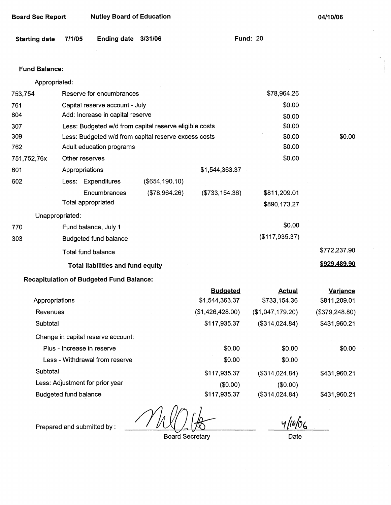| <b>Board Sec Report</b> | <b>Nutley Board of Education</b> |
|-------------------------|----------------------------------|
|-------------------------|----------------------------------|

**04/10/06** 

**Fund: 20** 

## **Fund Balance:**

Appropriated:

| 753,754     | Reserve for encumbrances     |                                                        |                |                  | \$78,964.26      |                 |
|-------------|------------------------------|--------------------------------------------------------|----------------|------------------|------------------|-----------------|
| 761         |                              | Capital reserve account - July                         |                |                  | \$0.00           |                 |
| 604         |                              | Add: Increase in capital reserve                       |                |                  | \$0.00           |                 |
| 307         |                              | Less: Budgeted w/d from capital reserve eligible costs |                | \$0.00           |                  |                 |
| 309         |                              | Less: Budgeted w/d from capital reserve excess costs   |                |                  | \$0.00           | \$0.00          |
| 762         |                              | Adult education programs                               |                |                  | \$0.00           |                 |
| 751,752,76x |                              | Other reserves                                         |                |                  | \$0.00           |                 |
| 601         |                              | Appropriations                                         |                | \$1,544,363.37   |                  |                 |
| 602         |                              | Less: Expenditures                                     | (\$654,190.10) |                  |                  |                 |
|             |                              | Encumbrances                                           | (\$78,964.26)  | ( \$733, 154.36) | \$811,209.01     |                 |
|             |                              | Total appropriated                                     |                |                  | \$890,173.27     |                 |
|             | Unappropriated:              |                                                        |                |                  |                  |                 |
| 770         |                              | Fund balance, July 1                                   |                |                  | \$0.00           |                 |
| 303         |                              | <b>Budgeted fund balance</b>                           |                |                  | (\$117,935.37)   |                 |
|             |                              | <b>Total fund balance</b>                              |                |                  |                  | \$772,237.90    |
|             |                              | Total liabilities and fund equity                      |                |                  |                  | \$929,489.90    |
|             |                              | <b>Recapitulation of Budgeted Fund Balance:</b>        |                |                  |                  |                 |
|             |                              |                                                        |                | <b>Budgeted</b>  | <b>Actual</b>    | <b>Variance</b> |
|             | Appropriations               |                                                        |                | \$1,544,363.37   | \$733,154.36     | \$811,209.01    |
| Revenues    |                              |                                                        |                | (\$1,426,428.00) | (\$1,047,179.20) | (\$379,248.80)  |
| Subtotal    |                              |                                                        |                | \$117,935.37     | (\$314,024.84)   | \$431,960.21    |
|             |                              | Change in capital reserve account:                     |                |                  |                  |                 |
|             |                              | Plus - Increase in reserve                             |                | \$0.00           | \$0.00           | \$0.00          |
|             |                              | Less - Withdrawal from reserve                         |                | \$0.00           | \$0.00           |                 |
| Subtotal    |                              |                                                        |                | \$117,935.37     | (\$314,024.84)   | \$431,960.21    |
|             |                              | Less: Adjustment for prior year                        |                | (\$0.00)         | (\$0.00)         |                 |
|             | <b>Budgeted fund balance</b> |                                                        |                | \$117,935.37     | (\$314,024.84)   | \$431,960.21    |

Prepared and submitted by :

Board Secretary

*1/1/4~*  Date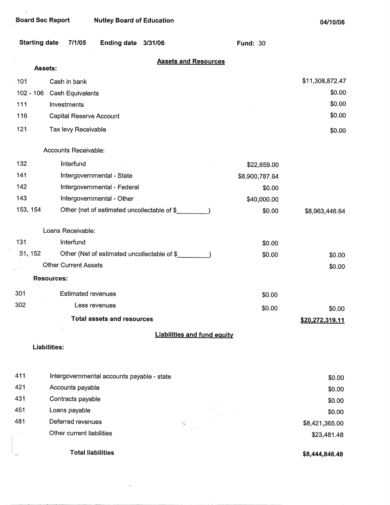**Board Sec Report Nutley Board of Education** 

 $\ddot{\phantom{0}}$ 

**04/10/06** 

| <b>Starting date</b> | 7/1/05<br>Ending date 3/31/06               | <b>Fund: 30</b> |                        |
|----------------------|---------------------------------------------|-----------------|------------------------|
|                      | <b>Assets and Resources</b><br>Assets:      |                 |                        |
| 101                  | Cash in bank                                |                 | \$11,308,872.47        |
| $102 - 106$          | <b>Cash Equivalents</b>                     |                 | \$0.00                 |
| 111                  | Investments                                 |                 | \$0.00                 |
| 116                  | Capital Reserve Account                     |                 | \$0.00                 |
| 121                  | Tax levy Receivable                         |                 | \$0.00                 |
|                      | Accounts Receivable:                        |                 |                        |
| 132                  | Interfund                                   | \$22,659.00     |                        |
| 141                  | Intergovernmental - State                   | \$8,900,787.64  |                        |
| 142                  | Intergovernmental - Federal                 | \$0.00          |                        |
| 143                  | Intergovernmental - Other                   | \$40,000.00     |                        |
| 153, 154             | Other (net of estimated uncollectable of \$ | \$0.00          | \$8,963,446.64         |
|                      | Loans Receivable:                           |                 |                        |
| 131                  | Interfund                                   | \$0.00          |                        |
| 51, 152              | Other (Net of estimated uncollectable of \$ | \$0.00          | \$0.00                 |
|                      | <b>Other Current Assets</b>                 |                 | \$0.00                 |
|                      | <b>Resources:</b>                           |                 |                        |
| 301                  | <b>Estimated revenues</b>                   | \$0.00          |                        |
| 302                  | Less revenues                               | \$0.00          | \$0.00                 |
|                      | <b>Total assets and resources</b>           |                 | <u>\$20,272,319.11</u> |
|                      | <b>Liabilities and fund equity</b>          |                 |                        |
|                      | Liabilities:                                |                 |                        |
| 411                  | Intergovernmental accounts payable - state  |                 | \$0.00                 |
| 421                  | Accounts payable                            |                 | \$0.00                 |
| 431                  | Contracts payable                           |                 | \$0.00                 |
| 451                  | Loans payable                               |                 | \$0.00                 |
| 481                  | Deferred revenues                           |                 | \$8,421,365.00         |
|                      | Other current liabilities                   |                 | \$23,481.48            |
|                      | <b>Total liabilities</b>                    |                 | \$8,444,846.48         |

 $\epsilon$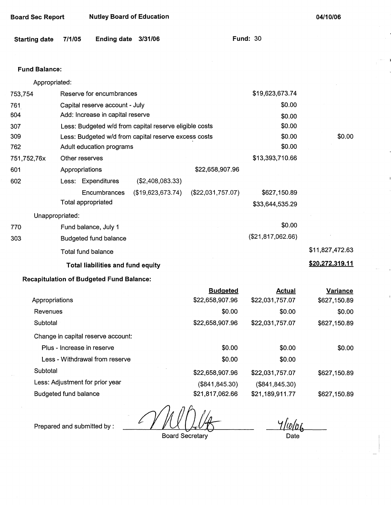| <b>Board Sec Report</b> | <b>Nutley Board of Education</b> |
|-------------------------|----------------------------------|
|-------------------------|----------------------------------|

**04/10/06** 

| Starting date 7/1/05 |  | Ending date 3/31/06 |  | <b>Fund: 30</b> |  |
|----------------------|--|---------------------|--|-----------------|--|
|----------------------|--|---------------------|--|-----------------|--|

#### **Fund Balance:**

Appropriated:

| 753,754         |                                          | Reserve for encumbrances         |                                                        |                   | \$19,623,673.74     |                 |
|-----------------|------------------------------------------|----------------------------------|--------------------------------------------------------|-------------------|---------------------|-----------------|
| 761             |                                          | Capital reserve account - July   |                                                        |                   | \$0.00              |                 |
| 604             |                                          | Add: Increase in capital reserve |                                                        | \$0.00            |                     |                 |
| 307             |                                          |                                  | Less: Budgeted w/d from capital reserve eligible costs |                   | \$0.00              |                 |
| 309             |                                          |                                  | Less: Budgeted w/d from capital reserve excess costs   |                   | \$0.00              | \$0.00          |
| 762             |                                          | Adult education programs         |                                                        |                   | \$0.00              |                 |
| 751,752,76x     |                                          | Other reserves                   |                                                        |                   | \$13,393,710.66     |                 |
| 601             |                                          | Appropriations                   |                                                        | \$22,658,907.96   |                     |                 |
| 602             |                                          | Less: Expenditures               | (\$2,408,083.33)                                       |                   |                     |                 |
|                 |                                          | Encumbrances                     | (\$19,623,673.74)                                      | (\$22,031,757.07) | \$627,150.89        |                 |
|                 |                                          | Total appropriated               |                                                        |                   | \$33,644,535.29     |                 |
| Unappropriated: |                                          |                                  |                                                        |                   |                     |                 |
| 770             |                                          | Fund balance, July 1             |                                                        |                   | \$0.00              |                 |
| 303             |                                          | <b>Budgeted fund balance</b>     |                                                        |                   | $(\$21,817,062.66)$ |                 |
|                 |                                          | Total fund balance               |                                                        |                   |                     | \$11,827,472.63 |
|                 | <b>Total liabilities and fund equity</b> |                                  |                                                        |                   |                     | \$20,272,319.11 |

# **Recapitulation of Budgeted Fund Balance:**

|                                    | <b>Budgeted</b> | <b>Actual</b>   | <b>Variance</b> |
|------------------------------------|-----------------|-----------------|-----------------|
| Appropriations                     | \$22,658,907.96 | \$22,031,757.07 | \$627,150.89    |
| Revenues                           | \$0.00          | \$0.00          | \$0.00          |
| Subtotal                           | \$22,658,907.96 | \$22,031,757.07 | \$627,150.89    |
| Change in capital reserve account: |                 |                 |                 |
| Plus - Increase in reserve         | \$0.00          | \$0.00          | \$0.00          |
| Less - Withdrawal from reserve     | \$0.00          | \$0.00          |                 |
| Subtotal                           | \$22,658,907.96 | \$22,031,757.07 | \$627,150.89    |
| Less: Adjustment for prior year    | (\$841, 845.30) | (\$841, 845.30) |                 |
| <b>Budgeted fund balance</b>       | \$21,817,062.66 | \$21,189,911.77 | \$627,150.89    |

L

Prepared and submitted by :

Board Secretary

 $\frac{y}{\frac{1}{D}}$ Date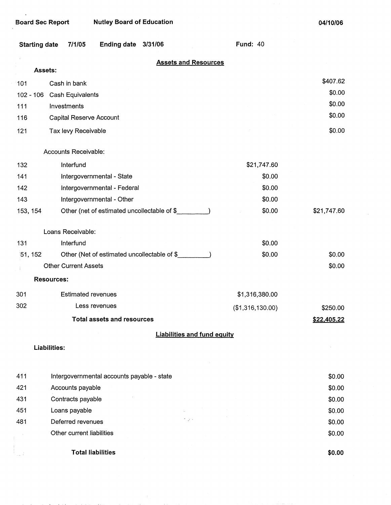| <b>Starting date</b> | Ending date 3/31/06<br>7/1/05               | <b>Fund: 40</b>                    |             |
|----------------------|---------------------------------------------|------------------------------------|-------------|
|                      |                                             | <b>Assets and Resources</b>        |             |
|                      | Assets:                                     |                                    |             |
| 101                  | Cash in bank                                |                                    | \$407.62    |
| $102 - 106$          | Cash Equivalents                            |                                    | \$0.00      |
| 111                  | Investments                                 |                                    | \$0.00      |
| 116                  | Capital Reserve Account                     |                                    | \$0.00      |
| 121                  | Tax levy Receivable                         |                                    | \$0.00      |
|                      | Accounts Receivable:                        |                                    |             |
| 132                  | Interfund                                   | \$21,747.60                        |             |
| 141                  | Intergovernmental - State                   | \$0.00                             |             |
| 142                  | Intergovernmental - Federal                 | \$0.00                             |             |
| 143                  | Intergovernmental - Other                   | \$0.00                             |             |
| 153, 154             | Other (net of estimated uncollectable of \$ | \$0.00                             | \$21,747.60 |
|                      | Loans Receivable:                           |                                    |             |
| 131                  | Interfund                                   | \$0.00                             |             |
| 51, 152              | Other (Net of estimated uncollectable of \$ | \$0.00                             | \$0.00      |
|                      | <b>Other Current Assets</b>                 |                                    | \$0.00      |
|                      | <b>Resources:</b>                           |                                    |             |
| 301                  | <b>Estimated revenues</b>                   | \$1,316,380.00                     |             |
| 302                  | Less revenues                               | (\$1,316,130.00)                   | \$250.00    |
|                      | <b>Total assets and resources</b>           |                                    | \$22,405.22 |
|                      |                                             | <b>Liabilities and fund equity</b> |             |
|                      | <b>Liabilities:</b>                         |                                    |             |
| 411                  | Intergovernmental accounts payable - state  |                                    | \$0.00      |
| 421                  | Accounts payable                            |                                    | \$0.00      |
| 431                  | Contracts payable                           |                                    | \$0.00      |
| 451                  | Loans payable                               |                                    | \$0.00      |
| 481                  | Deferred revenues                           | $\omega$ .                         | \$0.00      |
|                      | Other current liabilities                   |                                    | \$0.00      |
|                      | <b>Total liabilities</b>                    |                                    | \$0.00      |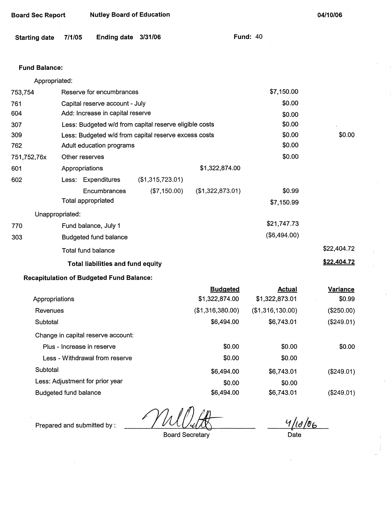| Board Sec Report | <b>Nutley Board of Education</b> |
|------------------|----------------------------------|
|------------------|----------------------------------|

**04/10/06** 

| Starting date 7/1/05 |  | Ending date 3/31/06 |  |  |
|----------------------|--|---------------------|--|--|
|----------------------|--|---------------------|--|--|

**Fund: 40** 

# **Fund Balance:**

| Appropriated:   |                                                        |                  |                  |            |             |
|-----------------|--------------------------------------------------------|------------------|------------------|------------|-------------|
| 753,754         | Reserve for encumbrances                               | \$7,150.00       |                  |            |             |
| 761             | Capital reserve account - July                         |                  |                  | \$0.00     |             |
| 604             | Add: Increase in capital reserve                       |                  |                  | \$0.00     |             |
| 307             | Less: Budgeted w/d from capital reserve eligible costs |                  |                  | \$0.00     |             |
| 309             | Less: Budgeted w/d from capital reserve excess costs   |                  | \$0.00           | \$0.00     |             |
| 762             | Adult education programs                               | \$0.00           |                  |            |             |
| 751,752,76x     | Other reserves                                         |                  |                  | \$0.00     |             |
| 601             | Appropriations                                         |                  | \$1,322,874.00   |            |             |
| 602             | Less: Expenditures                                     | (\$1,315,723.01) |                  |            |             |
|                 | Encumbrances                                           | (\$7,150.00)     | (\$1,322,873.01) | \$0.99     |             |
|                 | Total appropriated                                     |                  |                  | \$7,150.99 |             |
| Unappropriated: |                                                        |                  |                  |            |             |
| 770             | Fund balance, July 1                                   |                  | \$21,747.73      |            |             |
| 303             | <b>Budgeted fund balance</b>                           | (\$6,494.00)     |                  |            |             |
|                 | Total fund balance                                     |                  |                  |            | \$22,404.72 |
|                 | <b>Total liabilities and fund equity</b>               |                  |                  |            | \$22,404.72 |

# **Recapitulation of Budgeted Fund Balance:**

|                                    | <b>Budgeted</b>  | <b>Actual</b>    | <b>Variance</b> |
|------------------------------------|------------------|------------------|-----------------|
| Appropriations                     | \$1,322,874.00   | \$1,322,873.01   | \$0.99          |
| Revenues                           | (\$1,316,380.00) | (\$1,316,130.00) | (\$250.00)      |
| Subtotal                           | \$6,494.00       | \$6,743.01       | (\$249.01)      |
| Change in capital reserve account: |                  |                  |                 |
| Plus - Increase in reserve         | \$0.00           | \$0.00           | \$0.00          |
| Less - Withdrawal from reserve     | \$0.00           | \$0.00           |                 |
| Subtotal                           | \$6,494.00       | \$6,743.01       | (\$249.01)      |
| Less: Adjustment for prior year    | \$0.00           | \$0.00           |                 |
| Budgeted fund balance              | \$6,494.00       | \$6,743.01       | (\$249.01)      |

WUVuM<br>Board Secretary

Prepared and submitted by :

 $\frac{4/10/86}{\text{Date}}$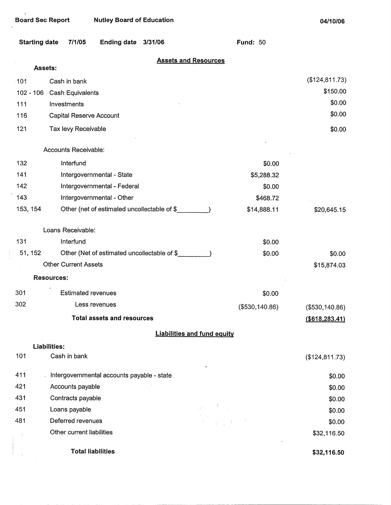$\frac{1}{1}$ 

| <b>Starting date</b> | 7/1/05                                     | <b>Ending date</b>                          | 3/31/06 |                                    | <b>Fund: 50</b> |                 |
|----------------------|--------------------------------------------|---------------------------------------------|---------|------------------------------------|-----------------|-----------------|
|                      | <b>Assets:</b>                             |                                             |         | <b>Assets and Resources</b>        |                 |                 |
| 101                  | Cash in bank                               |                                             |         |                                    |                 | (\$124, 811.73) |
| $102 - 106$          | Cash Equivalents                           |                                             |         |                                    |                 | \$150.00        |
| 111                  | Investments                                |                                             |         |                                    |                 | \$0.00          |
| 116                  | Capital Reserve Account                    |                                             |         |                                    |                 | \$0.00          |
| 121                  | Tax levy Receivable                        |                                             |         |                                    |                 | \$0.00          |
|                      | Accounts Receivable:                       |                                             |         |                                    |                 |                 |
|                      |                                            |                                             |         |                                    |                 |                 |
| 132                  | Interfund                                  |                                             |         |                                    | \$0.00          |                 |
| 141                  |                                            | Intergovernmental - State                   |         |                                    | \$5,288.32      |                 |
| 142                  |                                            | Intergovernmental - Federal                 |         |                                    | \$0.00          |                 |
| 143                  |                                            | Intergovernmental - Other                   |         |                                    | \$468.72        |                 |
| 153, 154             |                                            | Other (net of estimated uncollectable of \$ |         |                                    | \$14,888.11     | \$20,645.15     |
|                      | Loans Receivable:                          |                                             |         |                                    |                 |                 |
| 131                  | Interfund                                  |                                             |         |                                    | \$0.00          |                 |
| 51, 152              |                                            | Other (Net of estimated uncollectable of \$ |         |                                    | \$0.00          | \$0.00          |
|                      | <b>Other Current Assets</b>                |                                             |         |                                    |                 | \$15,874.03     |
|                      | <b>Resources:</b>                          |                                             |         |                                    |                 |                 |
| 301                  | <b>Estimated revenues</b>                  |                                             |         |                                    | \$0.00          |                 |
| 302                  | Less revenues                              |                                             |         |                                    | (\$530,140.86)  | (\$530,140.86)  |
|                      |                                            | <b>Total assets and resources</b>           |         |                                    |                 | (\$618,283,41)  |
|                      |                                            |                                             |         | <b>Liabilities and fund equity</b> |                 |                 |
|                      | Liabilities:                               |                                             |         |                                    |                 |                 |
| 101                  | Cash in bank                               |                                             |         |                                    |                 | (\$124,811.73)  |
| 411                  | Intergovernmental accounts payable - state |                                             |         |                                    |                 | \$0.00          |
| 421                  | Accounts payable                           |                                             |         |                                    |                 | \$0.00          |
| 431                  | Contracts payable                          |                                             |         |                                    |                 | \$0.00          |
| 451                  | Loans payable                              |                                             |         |                                    |                 | \$0.00          |
| 481                  | Deferred revenues                          |                                             |         |                                    |                 | \$0.00          |
|                      | Other current liabilities                  |                                             |         |                                    |                 | \$32,116.50     |
|                      | <b>Total liabilities</b>                   |                                             |         |                                    |                 | \$32,116.50     |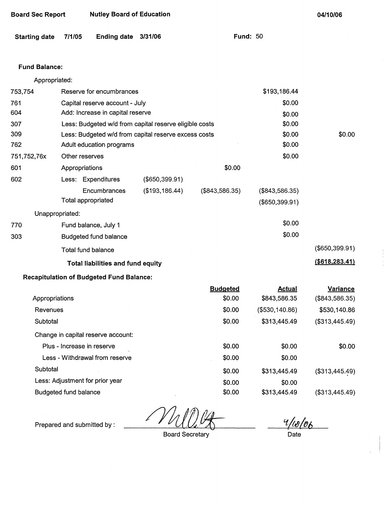| <b>Starting date</b> | 7/1/05         | <b>Ending date</b>                              | 3/31/06                                                |                  | <b>Fund: 50</b> |                  |
|----------------------|----------------|-------------------------------------------------|--------------------------------------------------------|------------------|-----------------|------------------|
| <b>Fund Balance:</b> |                |                                                 |                                                        |                  |                 |                  |
| Appropriated:        |                |                                                 |                                                        |                  |                 |                  |
| 753,754              |                | Reserve for encumbrances                        |                                                        |                  | \$193,186.44    |                  |
| 761                  |                | Capital reserve account - July                  |                                                        |                  | \$0.00          |                  |
| 604                  |                | Add: Increase in capital reserve                |                                                        |                  | \$0.00          |                  |
| 307                  |                |                                                 | Less: Budgeted w/d from capital reserve eligible costs |                  | \$0.00          |                  |
| 309                  |                |                                                 | Less: Budgeted w/d from capital reserve excess costs   |                  | \$0.00          | \$0.00           |
| 762                  |                | Adult education programs                        |                                                        |                  | \$0.00          |                  |
| 751,752,76x          |                | Other reserves                                  |                                                        |                  | \$0.00          |                  |
| 601                  | Appropriations |                                                 |                                                        | \$0.00           |                 |                  |
| 602                  |                | Less: Expenditures                              | (\$650,399.91)                                         |                  |                 |                  |
|                      |                | Encumbrances                                    | (\$193, 186.44)                                        | $(\$843,586.35)$ | (\$843,586.35)  |                  |
|                      |                | Total appropriated                              |                                                        |                  | (\$650,399.91)  |                  |
| Unappropriated:      |                |                                                 |                                                        |                  |                 |                  |
| 770                  |                | Fund balance, July 1                            |                                                        |                  | \$0.00          |                  |
| 303                  |                | <b>Budgeted fund balance</b>                    |                                                        |                  | \$0.00          |                  |
|                      |                | Total fund balance                              |                                                        |                  |                 | (\$650,399.91)   |
|                      |                | Total liabilities and fund equity               |                                                        |                  |                 | ( \$618, 283.41) |
|                      |                | <b>Recapitulation of Budgeted Fund Balance:</b> |                                                        |                  |                 |                  |
|                      |                |                                                 |                                                        | <b>Budgeted</b>  | <b>Actual</b>   | <b>Variance</b>  |
| Appropriations       |                |                                                 |                                                        | \$0.00           | \$843,586.35    | (\$843,586.35)   |
| Revenues             |                |                                                 |                                                        | \$0.00           | (\$530, 140.86) | \$530,140.86     |
| Subtotal             |                |                                                 |                                                        | \$0.00           | \$313,445.49    | (\$313,445.49)   |
|                      |                | Change in capital reserve account:              |                                                        |                  |                 |                  |
|                      |                | Plus - Increase in reserve                      |                                                        | \$0.00           | \$0.00          | \$0.00           |
|                      |                | Less - Withdrawal from reserve                  |                                                        | \$0.00           | \$0.00          |                  |
| Subtotal             |                |                                                 |                                                        | \$0.00           | \$313,445.49    | (\$313,445.49)   |
|                      |                | Less: Adjustment for prior year                 |                                                        | \$0.00           | \$0.00          |                  |

Budgeted fund balance

**Board Sec Report Nutley Board of Education** 

\$0.00

Prepared and submitted by:

Board Secretary

 $4/18/06$ P<br>Date

(\$313,445.49)

**04/10/06** 

\$313,445.49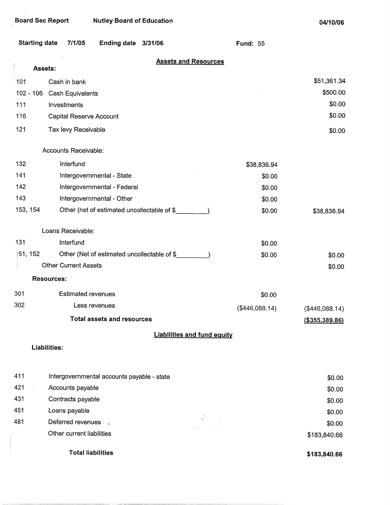$\bar{z}$ 

| <b>Starting date</b> | 7/1/05                                      | Ending date 3/31/06 |                                    | <b>Fund: 55</b> |                  |
|----------------------|---------------------------------------------|---------------------|------------------------------------|-----------------|------------------|
|                      | Assets:                                     |                     | <b>Assets and Resources</b>        |                 |                  |
| ั 101                | Cash in bank                                |                     |                                    |                 | \$51,361.34      |
| $102 - 106$          | Cash Equivalents                            |                     |                                    |                 | \$500.00         |
| 111                  | Investments                                 |                     |                                    |                 | \$0.00           |
| 116                  | Capital Reserve Account                     |                     |                                    |                 | \$0.00           |
| 121                  | Tax levy Receivable                         |                     |                                    |                 | \$0.00           |
|                      | Accounts Receivable:                        |                     |                                    |                 |                  |
| 132                  | Interfund                                   |                     |                                    | \$38,836.94     |                  |
| 141                  | Intergovernmental - State                   |                     |                                    | \$0.00          |                  |
| 142                  | Intergovernmental - Federal                 |                     |                                    | \$0.00          |                  |
| 143                  | Intergovernmental - Other                   |                     |                                    | \$0.00          |                  |
| 153, 154             | Other (net of estimated uncollectable of \$ |                     |                                    | \$0.00          | \$38,836.94      |
|                      | Loans Receivable:                           |                     |                                    |                 |                  |
| 131                  | Interfund                                   |                     |                                    | \$0.00          |                  |
| 51, 152              | Other (Net of estimated uncollectable of \$ |                     |                                    | \$0.00          | \$0.00           |
|                      | <b>Other Current Assets</b>                 |                     |                                    |                 | \$0.00           |
|                      | <b>Resources:</b>                           |                     |                                    |                 |                  |
| 301                  | <b>Estimated revenues</b>                   |                     |                                    | \$0.00          |                  |
| 302                  | Less revenues                               |                     |                                    | (\$446,088.14)  | (\$446,088.14)   |
|                      | <b>Total assets and resources</b>           |                     |                                    |                 | ( \$355, 389.86) |
|                      |                                             |                     | <b>Liabilities and fund equity</b> |                 |                  |
|                      | Liabilities:                                |                     |                                    |                 |                  |
|                      |                                             |                     |                                    |                 |                  |
| 411                  | Intergovernmental accounts payable - state  |                     |                                    |                 | \$0.00           |
| 421                  | Accounts payable                            |                     |                                    |                 | \$0.00           |
| 431                  | Contracts payable                           |                     |                                    |                 | \$0.00           |
| 451                  | Loans payable                               |                     |                                    |                 | \$0.00           |
| 481                  | Deferred revenues                           |                     | $\sqrt{2}$                         |                 | \$0.00           |
|                      | Other current liabilities                   |                     |                                    |                 | \$183,840.66     |
|                      | <b>Total liabilities</b>                    |                     |                                    |                 | \$183,840.66     |